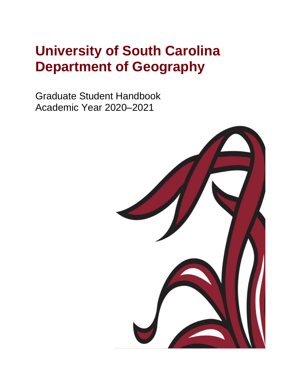# **University of South Carolina Department of Geography**

Graduate Student Handbook Academic Year 2020–2021

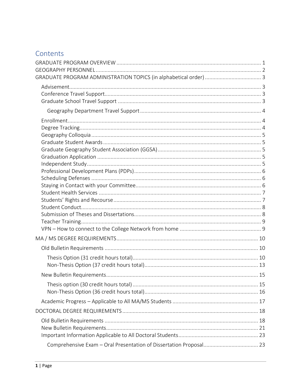# Contents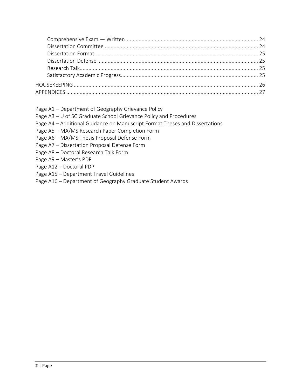- Page A1 Department of Geography Grievance Policy
- Page A3 U of SC Graduate School Grievance Policy and Procedures
- Page A4 Additional Guidance on Manuscript Format Theses and Dissertations
- Page A5 MA/MS Research Paper Completion Form
- Page A6 MA/MS Thesis Proposal Defense Form
- Page A7 Dissertation Proposal Defense Form
- Page A8 Doctoral Research Talk Form
- Page A9 Master's PDP
- Page A12 Doctoral PDP
- Page A15 Department Travel Guidelines
- Page A16 Department of Geography Graduate Student Awards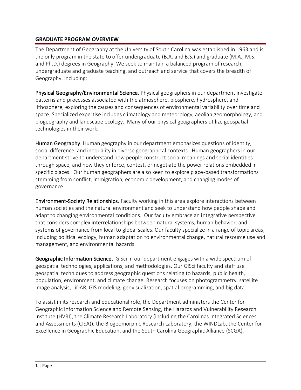### <span id="page-3-0"></span>**GRADUATE PROGRAM OVERVIEW**

The Department of Geography at the University of South Carolina was established in 1963 and is the only program in the state to offer undergraduate (B.A. and B.S.) and graduate (M.A., M.S. and Ph.D.) degrees in Geography. We seek to maintain a balanced program of research, undergraduate and graduate teaching, and outreach and service that covers the breadth of Geography, including:

Physical Geography/Environmental Science. Physical geographers in our department investigate patterns and processes associated with the atmosphere, biosphere, hydrosphere, and lithosphere, exploring the causes and consequences of environmental variability over time and space. Specialized expertise includes climatology and meteorology, aeolian geomorphology, and biogeography and landscape ecology. Many of our physical geographers utilize geospatial technologies in their work.

Human Geography. Human geography in our department emphasizes questions of identity, social difference, and inequality in diverse geographical contexts. Human geographers in our department strive to understand how people construct social meanings and social identities through space, and how they enforce, contest, or negotiate the power relations embedded in specific places. Our human geographers are also keen to explore place-based transformations stemming from conflict, immigration, economic development, and changing modes of governance.

Environment-Society Relationships. Faculty working in this area explore interactions between human societies and the natural environment and seek to understand how people shape and adapt to changing environmental conditions. Our faculty embrace an integrative perspective that considers complex interrelationships between natural systems, human behavior, and systems of governance from local to global scales. Our faculty specialize in a range of topic areas, including political ecology, human adaptation to environmental change, natural resource use and management, and environmental hazards.

Geographic Information Science. GISci in our department engages with a wide spectrum of geospatial technologies, applications, and methodologies. Our GISci faculty and staff use geospatial techniques to address geographic questions relating to hazards, public health, population, environment, and climate change. Research focuses on photogrammetry, satellite image analysis, LiDAR, GIS modeling, geovisualization, spatial programming, and big data.

To assist in its research and educational role, the Department administers the Center for Geographic Information Science and Remote Sensing, the Hazards and Vulnerability Research Institute (HVRI), the Climate Research Laboratory (including the Carolinas Integrated Sciences and Assessments (CISA)), the Biogeomorphic Research Laboratory, the WINDLab, the Center for Excellence in Geographic Education, and the South Carolina Geographic Alliance (SCGA).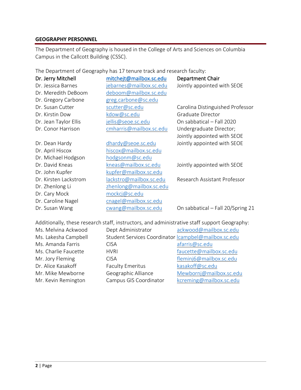#### <span id="page-4-0"></span>**GEOGRAPHY PERSONNEL**

The Department of Geography is housed in the College of Arts and Sciences on Columbia Campus in the Callcott Building (CSSC).

The Department of Geography has 17 tenure track and research faculty:

| Dr. Jerry Mitchell    | mitchejt@mailbox.sc.edu | <b>Department Chair</b>           |
|-----------------------|-------------------------|-----------------------------------|
| Dr. Jessica Barnes    | jebarnes@mailbox.sc.edu | Jointly appointed with SEOE       |
| Dr. Meredith DeBoom   | deboom@mailbox.sc.edu   |                                   |
| Dr. Gregory Carbone   | greg.carbone@sc.edu     |                                   |
| Dr. Susan Cutter      | scutter@sc.edu          | Carolina Distinguished Professor  |
| Dr. Kirstin Dow       | kdow@sc.edu             | Graduate Director                 |
| Dr. Jean Taylor Ellis | jellis@seoe.sc.edu      | On sabbatical - Fall 2020         |
| Dr. Conor Harrison    | cmharris@mailbox.sc.edu | Undergraduate Director;           |
|                       |                         | Jointly appointed with SEOE       |
| Dr. Dean Hardy        | dhardy@seoe.sc.edu      | Jointly appointed with SEOE       |
| Dr. April Hiscox      | hiscox@mailbox.sc.edu   |                                   |
| Dr. Michael Hodgson   | hodgsonm@sc.edu         |                                   |
| Dr. David Kneas       | kneas@mailbox.sc.edu    | Jointly appointed with SEOE       |
| Dr. John Kupfer       | kupfer@mailbox.sc.edu   |                                   |
| Dr. Kirsten Lackstrom | lackstro@mailbox.sc.edu | Research Assistant Professor      |
| Dr. Zhenlong Li       | zhenlong@mailbox.sc.edu |                                   |
| Dr. Cary Mock         | mockcj@sc.edu           |                                   |
| Dr. Caroline Nagel    | cnagel@mailbox.sc.edu   |                                   |
| Dr. Susan Wang        | cwang@mailbox.sc.edu    | On sabbatical - Fall 20/Spring 21 |

Additionally, these research staff, instructors, and administrative staff support Geography:

| Ms. Melvina Ackwood  | Dept Administrator                                   | ackwood@mailbox.sc.edu  |
|----------------------|------------------------------------------------------|-------------------------|
| Ms. Lakesha Campbell | Student Services Coordinator Icampbel@mailbox.sc.edu |                         |
| Ms. Amanda Farris    | <b>CISA</b>                                          | afarris@sc.edu          |
| Ms. Charlie Faucette | <b>HVRI</b>                                          | faucette@mailbox.sc.edu |
| Mr. Jory Fleming     | <b>CISA</b>                                          | fleminj6@mailbox.sc.edu |
| Dr. Alice Kasakoff   | <b>Faculty Emeritus</b>                              | kasakoff@sc.edu         |
| Mr. Mike Mewborne    | Geographic Alliance                                  | Mewbornj@mailbox.sc.edu |
| Mr. Kevin Remington  | Campus GIS Coordinator                               | kcreming@mailbox.sc.edu |
|                      |                                                      |                         |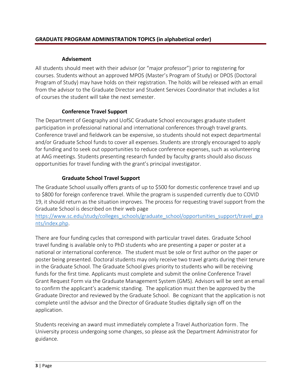## **Advisement**

<span id="page-5-1"></span><span id="page-5-0"></span>All students should meet with their advisor (or "major professor") prior to registering for courses. Students without an approved MPOS (Master's Program of Study) or DPOS (Doctoral Program of Study) may have holds on their registration. The holds will be released with an email from the advisor to the Graduate Director and Student Services Coordinator that includes a list of courses the student will take the next semester.

# **Conference Travel Support**

<span id="page-5-2"></span>The Department of Geography and UofSC Graduate School encourages graduate student participation in professional national and international conferences through travel grants. Conference travel and fieldwork can be expensive, so students should not expect departmental and/or Graduate School funds to cover all expenses. Students are strongly encouraged to apply for funding and to seek out opportunities to reduce conference expenses, such as volunteering at AAG meetings. Students presenting research funded by faculty grants should also discuss opportunities for travel funding with the grant's principal investigator.

# **Graduate School Travel Support**

<span id="page-5-3"></span>The Graduate School usually offers grants of up to \$500 for domestic conference travel and up to \$800 for foreign conference travel. While the program is suspended currently due to COVID 19, it should return as the situation improves. The process for requesting travel support from the Graduate School is described on their web page

[https://www.sc.edu/study/colleges\\_schools/graduate\\_school/opportunities\\_support/travel\\_gra](https://www.sc.edu/study/colleges_schools/graduate_school/opportunities_support/travel_grants/index.php) [nts/index.php.](https://www.sc.edu/study/colleges_schools/graduate_school/opportunities_support/travel_grants/index.php)

There are four funding cycles that correspond with particular travel dates. Graduate School travel funding is available only to PhD students who are presenting a paper or poster at a national or international conference. The student must be sole or first author on the paper or poster being presented. Doctoral students may only receive two travel grants during their tenure in the Graduate School. The Graduate School gives priority to students who will be receiving funds for the first time. Applicants must complete and submit the online Conference Travel Grant Request Form via the Graduate Management System (GMS). Advisors will be sent an email to confirm the applicant's academic standing. The application must then be approved by the Graduate Director and reviewed by the Graduate School. Be cognizant that the application is not complete until the advisor and the Director of Graduate Studies digitally sign off on the application.

Students receiving an award must immediately complete a Travel Authorization form. The University process undergoing some changes, so please ask the Department Administrator for guidance.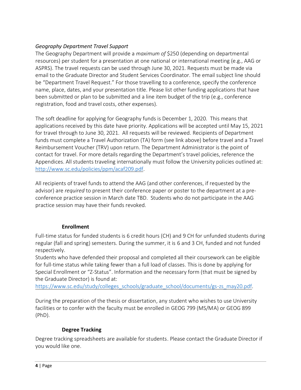# <span id="page-6-0"></span>*Geography Department Travel Support*

The Geography Department will provide a *maximum of* \$250 (depending on departmental resources) per student for a presentation at one national or international meeting (e.g., AAG or ASPRS). The travel requests can be used through June 30, 2021. Requests must be made via email to the Graduate Director and Student Services Coordinator. The email subject line should be "Department Travel Request." For those travelling to a conference, specify the conference name, place, dates, and your presentation title. Please list other funding applications that have been submitted or plan to be submitted and a line item budget of the trip (e.g., conference registration, food and travel costs, other expenses).

The soft deadline for applying for Geography funds is December 1, 2020. This means that applications received by this date have priority. Applications will be accepted until May 15, 2021 for travel through to June 30, 2021. All requests will be reviewed. Recipients of Department funds must complete a Travel Authorization (TA) form (see link above) before travel and a Travel Reimbursement Voucher (TRV) upon return. The Department Administrator is the point of contact for travel. For more details regarding the Department's travel policies, reference the Appendices. All students traveling internationally must follow the University policies outlined at: [http://www.sc.edu/policies/ppm/acaf209.pdf.](http://www.sc.edu/policies/ppm/acaf209.pdf)

All recipients of travel funds to attend the AAG (and other conferences, if requested by the advisor) are *required* to present their conference paper or poster to the department at a preconference practice session in March date TBD. Students who do not participate in the AAG practice session may have their funds revoked.

### **Enrollment**

<span id="page-6-1"></span>Full-time status for funded students is 6 credit hours (CH) and 9 CH for unfunded students during regular (fall and spring) semesters. During the summer, it is 6 and 3 CH, funded and not funded respectively.

Students who have defended their proposal and completed all their coursework can be eligible for full-time status while taking fewer than a full load of classes. This is done by applying for Special Enrollment or "Z-Status". Information and the necessary form (that must be signed by the Graduate Director) is found at:

[https://www.sc.edu/study/colleges\\_schools/graduate\\_school/documents/gs-zs\\_may20.pdf.](https://www.sc.edu/study/colleges_schools/graduate_school/documents/gs-zs_may20.pdf)

During the preparation of the thesis or dissertation, any student who wishes to use University facilities or to confer with the faculty must be enrolled in GEOG 799 (MS/MA) or GEOG 899 (PhD).

# **Degree Tracking**

<span id="page-6-2"></span>Degree tracking spreadsheets are available for students. Please contact the Graduate Director if you would like one.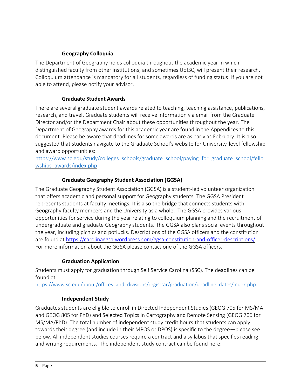## **Geography Colloquia**

<span id="page-7-0"></span>The Department of Geography holds colloquia throughout the academic year in which distinguished faculty from other institutions, and sometimes UofSC, will present their research. Colloquium attendance is mandatory for all students, regardless of funding status. If you are not able to attend, please notify your advisor.

### **Graduate Student Awards**

<span id="page-7-1"></span>There are several graduate student awards related to teaching, teaching assistance, publications, research, and travel. Graduate students will receive information via email from the Graduate Director and/or the Department Chair about these opportunities throughout the year. The Department of Geography awards for this academic year are found in the Appendices to this document. Please be aware that deadlines for some awards are as early as February. It is also suggested that students navigate to the Graduate School's website for University-level fellowship and award opportunities:

[https://www.sc.edu/study/colleges\\_schools/graduate\\_school/paying\\_for\\_graduate\\_school/fello](https://www.sc.edu/study/colleges_schools/graduate_school/paying_for_graduate_school/fellowships_awards/index.php) wships awards/index.php

## **Graduate Geography Student Association (GGSA)**

<span id="page-7-2"></span>The Graduate Geography Student Association (GGSA) is a student-led volunteer organization that offers academic and personal support for Geography students. The GGSA President represents students at faculty meetings. It is also the bridge that connects students with Geography faculty members and the University as a whole. The GGSA provides various opportunities for service during the year relating to colloquium planning and the recruitment of undergraduate and graduate Geography students. The GGSA also plans social events throughout the year, including picnics and potlucks. Descriptions of the GGSA officers and the constitution are found at [https://carolinaggsa.wordpress.com/ggsa-constitution-and-officer-descriptions/.](https://carolinaggsa.wordpress.com/ggsa-constitution-and-officer-descriptions/) For more information about the GGSA please contact one of the GGSA officers.

### **Graduation Application**

<span id="page-7-3"></span>Students must apply for graduation through Self Service Carolina (SSC). The deadlines can be found at:

[https://www.sc.edu/about/offices\\_and\\_divisions/registrar/graduation/deadline\\_dates/index.php.](https://www.sc.edu/about/offices_and_divisions/registrar/graduation/deadline_dates/index.php)

### **Independent Study**

<span id="page-7-4"></span>Graduates students are eligible to enroll in Directed Independent Studies (GEOG 705 for MS/MA and GEOG 805 for PhD) and Selected Topics in Cartography and Remote Sensing (GEOG 706 for MS/MA/PhD). The total number of independent study credit hours that students can apply towards their degree (and include in their MPOS or DPOS) is specific to the degree—please see below. All independent studies courses require a contract and a syllabus that specifies reading and writing requirements. The independent study contract can be found here: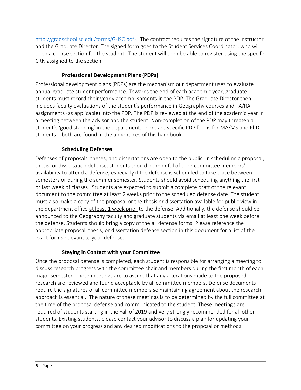[http://gradschool.sc.edu/forms/G-ISC.pdf\).](http://gradschool.sc.edu/forms/G-ISC.pdf)) The contract requires the signature of the instructor and the Graduate Director. The signed form goes to the Student Services Coordinator, who will open a course section for the student. The student will then be able to register using the specific CRN assigned to the section.

# **Professional Development Plans (PDPs)**

<span id="page-8-0"></span>Professional development plans (PDPs) are the mechanism our department uses to evaluate annual graduate student performance. Towards the end of each academic year, graduate students must record their yearly accomplishments in the PDP. The Graduate Director then includes faculty evaluations of the student's performance in Geography courses and TA/RA assignments (as applicable) into the PDP. The PDP is reviewed at the end of the academic year in a meeting between the advisor and the student. Non-completion of the PDP may threaten a student's 'good standing' in the department. There are specific PDP forms for MA/MS and PhD students – both are found in the appendices of this handbook.

# **Scheduling Defenses**

<span id="page-8-1"></span>Defenses of proposals, theses, and dissertations are open to the public. In scheduling a proposal, thesis, or dissertation defense, students should be mindful of their committee members' availability to attend a defense, especially if the defense is scheduled to take place between semesters or during the summer semester. Students should avoid scheduling anything the first or last week of classes. Students are expected to submit a complete draft of the relevant document to the committee at least 2 weeks prior to the scheduled defense date. The student must also make a copy of the proposal or the thesis or dissertation available for public view in the department office at least 1 week prior to the defense. Additionally, the defense should be announced to the Geography faculty and graduate students via email at least one week before the defense. Students should bring a copy of the all defense forms. Please reference the appropriate proposal, thesis, or dissertation defense section in this document for a list of the exact forms relevant to your defense.

# **Staying in Contact with your Committee**

<span id="page-8-2"></span>Once the proposal defense is completed, each student is responsible for arranging a meeting to discuss research progress with the committee chair and members during the first month of each major semester. These meetings are to assure that any alterations made to the proposed research are reviewed and found acceptable by all committee members. Defense documents require the signatures of all committee members so maintaining agreement about the research approach is essential. The nature of these meetings is to be determined by the full committee at the time of the proposal defense and communicated to the student. These meetings are required of students starting in the Fall of 2019 and very strongly recommended for all other students. Existing students, please contact your advisor to discuss a plan for updating your committee on your progress and any desired modifications to the proposal or methods.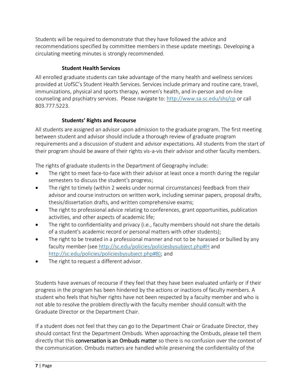Students will be required to demonstrate that they have followed the advice and recommendations specified by committee members in these update meetings. Developing a circulating meeting minutes is strongly recommended.

# **Student Health Services**

<span id="page-9-0"></span>All enrolled graduate students can take advantage of the many health and wellness services provided at UofSC's Student Health Services. Services include primary and routine care, travel, immunizations, physical and sports therapy, women's health, and in-person and on-line counseling and psychiatry services. Please navigate to:<http://www.sa.sc.edu/shs/cp> or call 803.777.5223.

## **Students' Rights and Recourse**

<span id="page-9-1"></span>All students are assigned an advisor upon admission to the graduate program. The first meeting between student and advisor should include a thorough review of graduate program requirements and a discussion of student and advisor expectations. All students from the start of their program should be aware of their rights vis-a-vis their advisor and other faculty members.

The rights of graduate students in the Department of Geography include:

- The right to meet face-to-face with their advisor at least once a month during the regular semesters to discuss the student's progress;
- The right to timely (within 2 weeks under normal circumstances) feedback from their advisor and course instructors on written work, including seminar papers, proposal drafts, thesis/dissertation drafts, and written comprehensive exams;
- The right to professional advice relating to conferences, grant opportunities, publication activities, and other aspects of academic life;
- The right to confidentiality and privacy (i.e., faculty members should not share the details of a student's academic record or personal matters with other students);
- The right to be treated in a professional manner and not to be harassed or bullied by any faculty member (see <http://sc.edu/policies/policiesbysubject.php#H> and [http://sc.edu/policies/policiesbysubject.php#B\);](http://sc.edu/policies/policiesbysubject.php#B)) and
- The right to request a different advisor.

Students have avenues of recourse if they feel that they have been evaluated unfairly or if their progress in the program has been hindered by the actions or inactions of faculty members. A student who feels that his/her rights have not been respected by a faculty member and who is not able to resolve the problem directly with the faculty member should consult with the Graduate Director or the Department Chair.

If a student does not feel that they can go to the Department Chair or Graduate Director, they should contact first the Department Ombuds. When approaching the Ombuds, please tell them directly that this **conversation is an Ombuds matter** so there is no confusion over the context of the communication. Ombuds matters are handled while preserving the confidentiality of the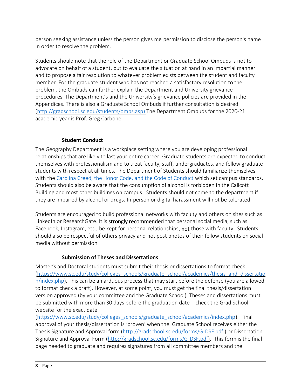person seeking assistance unless the person gives me permission to disclose the person's name in order to resolve the problem.

Students should note that the role of the Department or Graduate School Ombuds is not to advocate on behalf of a student, but to evaluate the situation at hand in an impartial manner and to propose a fair resolution to whatever problem exists between the student and faculty member. For the graduate student who has not reached a satisfactory resolution to the problem, the Ombuds can further explain the Department and University grievance procedures. The Department's and the University's grievance policies are provided in the Appendices. There is also a Graduate School Ombuds if further consultation is desired [\(http://gradschool.sc.edu/students/ombs.asp\)](http://gradschool.sc.edu/students/ombs.asp) The Department Ombuds for the 2020-21 academic year is Prof. Greg Carbone.

# **Student Conduct**

<span id="page-10-0"></span>The Geography Department is a workplace setting where you are developing professional relationships that are likely to last your entire career. Graduate students are expected to conduct themselves with professionalism and to treat faculty, staff, undergraduates, and fellow graduate students with respect at all times. The Department of Students should familiarize themselves with th[e Carolina Creed, the Honor Code, and the Code of Conduct](https://www.sc.edu/about/offices_and_divisions/student_conduct_and_academic_integrity/index.php) which set campus standards. Students should also be aware that the consumption of alcohol is forbidden in the Callcott Building and most other buildings on campus. Students should not come to the department if they are impaired by alcohol or drugs. In-person or digital harassment will not be tolerated.

Students are encouraged to build professional networks with faculty and others on sites such as LinkedIn or ResearchGate. It is strongly recommended that personal social media, such as Facebook, Instagram, etc., be kept for personal relationships, not those with faculty. Students should also be respectful of others privacy and not post photos of their fellow students on social media without permission.

# **Submission of Theses and Dissertations**

<span id="page-10-1"></span>Master's and Doctoral students must submit their thesis or dissertations to format check [\(https://www.sc.edu/study/colleges\\_schools/graduate\\_school/academics/thesis\\_and\\_dissertatio](https://www.sc.edu/study/colleges_schools/graduate_school/academics/thesis_and_dissertation/index.php)  $n/index.php$ . This can be an arduous process that may start before the defense (you are allowed to format check a draft). However, at some point, you must get the final thesis/dissertation version approved (by your committee and the Graduate School). Theses and dissertations must be submitted with more than 30 days before the graduation date – check the Grad School website for the exact date

[\(https://www.sc.edu/study/colleges\\_schools/graduate\\_school/academics/index.php\)](https://www.sc.edu/study/colleges_schools/graduate_school/academics/index.php). Final approval of your thesis/dissertation is 'proven' when the Graduate School receives either the Thesis Signature and Approval form [\(http://gradschool.sc.edu/forms/G-DSF.pdf \)](http://gradschool.sc.edu/forms/G-DSF.pdf) or Dissertation Signature and Approval Form [\(http://gradschool.sc.edu/forms/G-DSF.pdf\)](http://gradschool.sc.edu/forms/G-DSF.pdf). This form is the final page needed to graduate and requires signatures from all committee members and the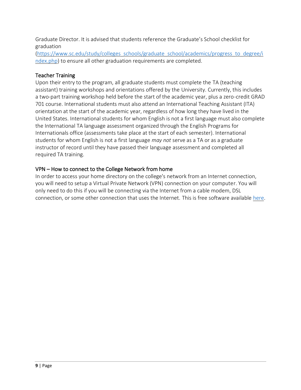Graduate Director. It is advised that students reference the Graduate's School checklist for graduation

[\(https://www.sc.edu/study/colleges\\_schools/graduate\\_school/academics/progress\\_to\\_degree/i](https://www.sc.edu/study/colleges_schools/graduate_school/academics/progress_to_degree/index.php) [ndex.php\)](https://www.sc.edu/study/colleges_schools/graduate_school/academics/progress_to_degree/index.php) to ensure all other graduation requirements are completed.

## <span id="page-11-0"></span>Teacher Training

Upon their entry to the program, all graduate students must complete the TA (teaching assistant) training workshops and orientations offered by the University. Currently, this includes a two-part training workshop held before the start of the academic year, plus a zero-credit GRAD 701 course. International students must also attend an International Teaching Assistant (ITA) orientation at the start of the academic year, regardless of how long they have lived in the United States. International students for whom English is not a first language must also complete the International TA language assessment organized through the English Programs for Internationals office (assessments take place at the start of each semester). International students for whom English is not a first language *may not* serve as a TA or as a graduate instructor of record until they have passed their language assessment and completed all required TA training.

## <span id="page-11-1"></span>VPN – How to connect to the College Network from home

In order to access your home directory on the college's network from an Internet connection, you will need to setup a Virtual Private Network (VPN) connection on your computer. You will only need to do this if you will be connecting via the Internet from a cable modem, DSL connection, or some other connection that uses the Internet. This is free software available [here.](https://www.sc.edu/about/offices_and_divisions/division_of_information_technology/end_user_services/available_technology_resources/)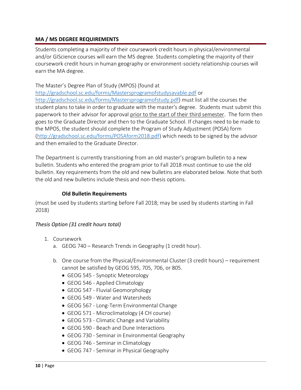#### <span id="page-12-0"></span>**MA / MS DEGREE REQUIREMENTS**

Students completing a majority of their coursework credit hours in physical/environmental and/or GIScience courses will earn the MS degree. Students completing the majority of their coursework credit hours in human geography or environment-society relationship courses will earn the MA degree.

The Master's Degree Plan of Study (MPOS) (found at

<http://gradschool.sc.edu/forms/Mastersprogramofstudysavable.pdf> or [http://gradschool.sc.edu/forms/Mastersprogramofstudy.pdf\)](http://gradschool.sc.edu/forms/Mastersprogramofstudy.pdf) must list all the courses the student plans to take in order to graduate with the master's degree. Students must submit this paperwork to their advisor for approval prior to the start of their third semester. The form then goes to the Graduate Director and then to the Graduate School. If changes need to be made to the MPOS, the student should complete the Program of Study Adjustment (POSA) form [\(http://gradschool.sc.edu/forms/POSAform2018.pdf\)](http://gradschool.sc.edu/forms/POSAform2018.pdf) which needs to be signed by the advisor and then emailed to the Graduate Director.

The Department is currently transitioning from an old master's program bulletin to a new bulletin. Students who entered the program prior to Fall 2018 must continue to use the old bulletin. Key requirements from the old and new bulletins are elaborated below. Note that both the old and new bulletins include thesis and non-thesis options.

#### **Old Bulletin Requirements**

<span id="page-12-1"></span>(must be used by students starting before Fall 2018; may be used by students starting in Fall 2018)

### <span id="page-12-2"></span>*Thesis Option (31 credit hours total)*

- 1. Coursework
	- a. GEOG 740 Research Trends in Geography (1 credit hour).
	- b. One course from the Physical/Environmental Cluster (3 credit hours) requirement cannot be satisfied by GEOG 595, 705, 706, or 805.
		- GEOG 545 Synoptic Meteorology
		- GEOG 546 Applied Climatology
		- GEOG 547 Fluvial Geomorphology
		- GEOG 549 Water and Watersheds
		- GEOG 567 Long-Term Environmental Change
		- GEOG 571 Microclimatology (4 CH course)
		- GEOG 573 Climatic Change and Variability
		- GEOG 590 Beach and Dune Interactions
		- GEOG 730 Seminar in Environmental Geography
		- GEOG 746 Seminar in Climatology
		- GEOG 747 Seminar in Physical Geography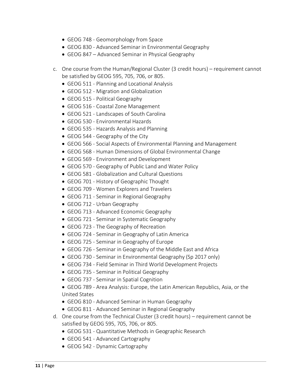- GEOG 748 Geomorphology from Space
- GEOG 830 Advanced Seminar in Environmental Geography
- GEOG 847 Advanced Seminar in Physical Geography
- c. One course from the Human/Regional Cluster (3 credit hours) requirement cannot be satisfied by GEOG 595, 705, 706, or 805.
	- GEOG 511 Planning and Locational Analysis
	- GEOG 512 Migration and Globalization
	- GEOG 515 Political Geography
	- GEOG 516 Coastal Zone Management
	- GEOG 521 Landscapes of South Carolina
	- GEOG 530 Environmental Hazards
	- GEOG 535 Hazards Analysis and Planning
	- GEOG 544 Geography of the City
	- GEOG 566 Social Aspects of Environmental Planning and Management
	- GEOG 568 Human Dimensions of Global Environmental Change
	- GEOG 569 Environment and Development
	- GEOG 570 Geography of Public Land and Water Policy
	- GEOG 581 Globalization and Cultural Questions
	- GEOG 701 History of Geographic Thought
	- GEOG 709 Women Explorers and Travelers
	- GEOG 711 Seminar in Regional Geography
	- GEOG 712 Urban Geography
	- GEOG 713 Advanced Economic Geography
	- GEOG 721 Seminar in Systematic Geography
	- GEOG 723 The Geography of Recreation
	- GEOG 724 Seminar in Geography of Latin America
	- GEOG 725 Seminar in Geography of Europe
	- GEOG 726 Seminar in Geography of the Middle East and Africa
	- GEOG 730 Seminar in Environmental Geography (Sp 2017 only)
	- GEOG 734 Field Seminar in Third World Development Projects
	- GEOG 735 Seminar in Political Geography
	- GEOG 737 Seminar in Spatial Cognition
	- GEOG 789 Area Analysis: Europe, the Latin American Republics, Asia, or the United States
	- GEOG 810 Advanced Seminar in Human Geography
	- GEOG 811 Advanced Seminar in Regional Geography
- d. One course from the Technical Cluster (3 credit hours) requirement cannot be satisfied by GEOG 595, 705, 706, or 805.
	- GEOG 531 Quantitative Methods in Geographic Research
	- GEOG 541 Advanced Cartography
	- GEOG 542 Dynamic Cartography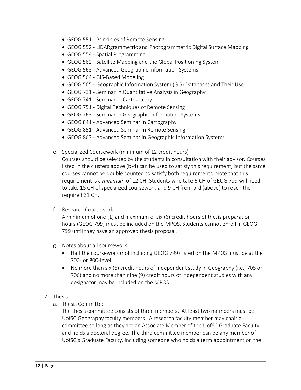- GEOG 551 Principles of Remote Sensing
- GEOG 552 LiDARgrammetric and Photogrammetric Digital Surface Mapping
- GEOG 554 Spatial Programming
- GEOG 562 Satellite Mapping and the Global Positioning System
- GEOG 563 Advanced Geographic Information Systems
- GEOG 564 GIS-Based Modeling
- GEOG 565 Geographic Information System (GIS) Databases and Their Use
- GEOG 731 Seminar in Quantitative Analysis in Geography
- GEOG 741 Seminar in Cartography
- GEOG 751 Digital Techniques of Remote Sensing
- GEOG 763 Seminar in Geographic Information Systems
- GEOG 841 Advanced Seminar in Cartography
- GEOG 851 Advanced Seminar in Remote Sensing
- GEOG 863 Advanced Seminar in Geographic Information Systems
- e. Specialized Coursework (minimum of 12 credit hours)

Courses should be selected by the students in consultation with their advisor. Courses listed in the clusters above (b-d) can be used to satisfy this requirement, but the same courses cannot be double counted to satisfy both requirements. Note that this requirement is a *minimum* of 12 CH. Students who take 6 CH of GEOG 799 will need to take 15 CH of specialized coursework and 9 CH from b-d (above) to reach the required 31 CH.

f. Research Coursework

A minimum of one (1) and maximum of six (6) credit hours of thesis preparation hours (GEOG 799) must be included on the MPOS. Students cannot enroll in GEOG 799 until they have an approved thesis proposal.

- g. Notes about all coursework:
	- Half the coursework (not including GEOG 799) listed on the MPOS must be at the 700- or 800-level.
	- No more than six (6) credit hours of independent study in Geography (i.e., 705 or 706) and no more than nine (9) credit hours of independent studies with any designator may be included on the MPOS.
- 2. Thesis
	- a. Thesis Committee

The thesis committee consists of three members. At least two members must be UofSC Geography faculty members. A research faculty member may chair a committee so long as they are an Associate Member of the UofSC Graduate Faculty and holds a doctoral degree. The third committee member can be any member of UofSC's Graduate Faculty, including someone who holds a term appointment on the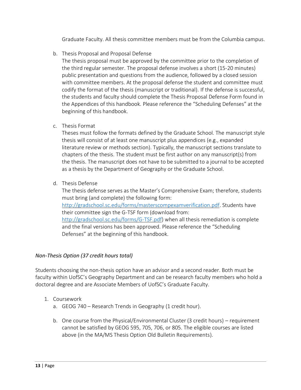Graduate Faculty. All thesis committee members must be from the Columbia campus.

b. Thesis Proposal and Proposal Defense

The thesis proposal must be approved by the committee prior to the completion of the third regular semester. The proposal defense involves a short (15-20 minutes) public presentation and questions from the audience, followed by a closed session with committee members. At the proposal defense the student and committee must codify the format of the thesis (manuscript or traditional). If the defense is successful, the students and faculty should complete the Thesis Proposal Defense Form found in the Appendices of this handbook. Please reference the "Scheduling Defenses" at the beginning of this handbook.

c. Thesis Format

Theses must follow the formats defined by the Graduate School. The manuscript style thesis will consist of at least one manuscript plus appendices (e.g., expanded literature review or methods section). Typically, the manuscript sections translate to chapters of the thesis. The student must be first author on any manuscript(s) from the thesis. The manuscript does not have to be submitted to a journal to be accepted as a thesis by the Department of Geography or the Graduate School.

d. Thesis Defense

The thesis defense serves as the Master's Comprehensive Exam; therefore, students must bring (and complete) the following form: [http://gradschool.sc.edu/forms/masterscompexamverification.pdf.](http://gradschool.sc.edu/forms/masterscompexamverification.pdf) Students have their committee sign the G-TSF form (download from: [http://gradschool.sc.edu/forms/G-TSF.pdf\)](http://gradschool.sc.edu/forms/G-TSF.pdf) when all thesis remediation is complete and the final versions has been approved. Please reference the "Scheduling Defenses" at the beginning of this handbook.

#### <span id="page-15-0"></span>*Non-Thesis Option (37 credit hours total)*

Students choosing the non-thesis option have an advisor and a second reader. Both must be faculty within UofSC's Geography Department and can be research faculty members who hold a doctoral degree and are Associate Members of UofSC's Graduate Faculty.

- 1. Coursework
	- a. GEOG 740 Research Trends in Geography (1 credit hour).
	- b. One course from the Physical/Environmental Cluster (3 credit hours) requirement cannot be satisfied by GEOG 595, 705, 706, or 805. The eligible courses are listed above (in the MA/MS Thesis Option Old Bulletin Requirements).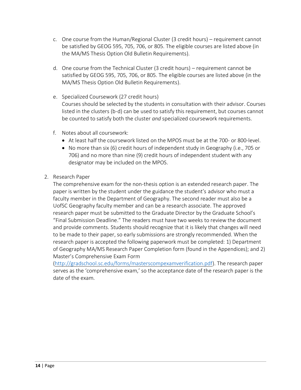- c. One course from the Human/Regional Cluster (3 credit hours) requirement cannot be satisfied by GEOG 595, 705, 706, or 805. The eligible courses are listed above (in the MA/MS Thesis Option Old Bulletin Requirements).
- d. One course from the Technical Cluster (3 credit hours) requirement cannot be satisfied by GEOG 595, 705, 706, or 805. The eligible courses are listed above (in the MA/MS Thesis Option Old Bulletin Requirements).
- e. Specialized Coursework (27 credit hours) Courses should be selected by the students in consultation with their advisor. Courses listed in the clusters (b-d) can be used to satisfy this requirement, but courses cannot be counted to satisfy both the cluster *and* specialized coursework requirements.
- f. Notes about all coursework:
	- At least half the coursework listed on the MPOS must be at the 700- or 800-level.
	- No more than six (6) credit hours of independent study in Geography (i.e., 705 or 706) and no more than nine (9) credit hours of independent student with any designator may be included on the MPOS.
- 2. Research Paper

The comprehensive exam for the non-thesis option is an extended research paper. The paper is written by the student under the guidance the student's advisor who must a faculty member in the Department of Geography. The second reader must also be a UofSC Geography faculty member and can be a research associate. The approved research paper must be submitted to the Graduate Director by the Graduate School's "Final Submission Deadline." The readers must have two weeks to review the document and provide comments. Students should recognize that it is likely that changes will need to be made to their paper, so early submissions are strongly recommended. When the research paper is accepted the following paperwork must be completed: 1) Department of Geography MA/MS Research Paper Completion form (found in the Appendices); and 2) Master's Comprehensive Exam Form

[\(http://gradschool.sc.edu/forms/masterscompexamverification.pdf\)](http://gradschool.sc.edu/forms/masterscompexamverification.pdf). The research paper serves as the 'comprehensive exam,' so the acceptance date of the research paper is the date of the exam.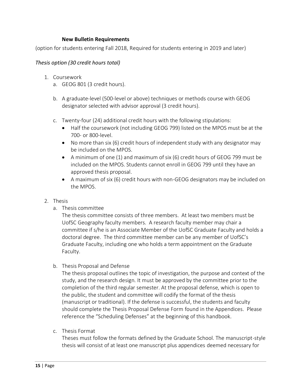#### **New Bulletin Requirements**

<span id="page-17-0"></span>(option for students entering Fall 2018, Required for students entering in 2019 and later)

#### <span id="page-17-1"></span>*Thesis option (30 credit hours total)*

- 1. Coursework
	- a. GEOG 801 (3 credit hours).
	- b. A graduate-level (500-level or above) techniques or methods course with GEOG designator selected with advisor approval (3 credit hours).
	- c. Twenty-four (24) additional credit hours with the following stipulations:
		- Half the coursework (not including GEOG 799) listed on the MPOS must be at the 700- or 800-level.
		- No more than six (6) credit hours of independent study with any designator may be included on the MPOS.
		- A minimum of one (1) and maximum of six (6) credit hours of GEOG 799 must be included on the MPOS. Students cannot enroll in GEOG 799 until they have an approved thesis proposal.
		- A maximum of six (6) credit hours with non-GEOG designators may be included on the MPOS.

#### 2. Thesis

a. Thesis committee

The thesis committee consists of three members. At least two members must be UofSC Geography faculty members. A research faculty member may chair a committee if s/he is an Associate Member of the UofSC Graduate Faculty and holds a doctoral degree. The third committee member can be any member of UofSC's Graduate Faculty, including one who holds a term appointment on the Graduate Faculty.

b. Thesis Proposal and Defense

The thesis proposal outlines the topic of investigation, the purpose and context of the study, and the research design. It must be approved by the committee prior to the completion of the third regular semester. At the proposal defense, which is open to the public, the student and committee will codify the format of the thesis (manuscript or traditional). If the defense is successful, the students and faculty should complete the Thesis Proposal Defense Form found in the Appendices. Please reference the "Scheduling Defenses" at the beginning of this handbook.

c. Thesis Format

Theses must follow the formats defined by the Graduate School. The manuscript-style thesis will consist of at least one manuscript plus appendices deemed necessary for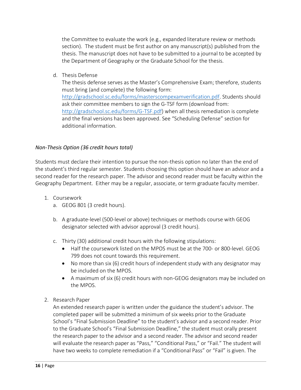the Committee to evaluate the work (e.g., expanded literature review or methods section). The student must be first author on any manuscript(s) published from the thesis. The manuscript does not have to be submitted to a journal to be accepted by the Department of Geography or the Graduate School for the thesis.

d. Thesis Defense

The thesis defense serves as the Master's Comprehensive Exam; therefore, students must bring (and complete) the following form: [http://gradschool.sc.edu/forms/masterscompexamverification.pdf.](http://gradschool.sc.edu/forms/masterscompexamverification.pdf) Students should ask their committee members to sign the G-TSF form (download from: [http://gradschool.sc.edu/forms/G-TSF.pdf\)](http://gradschool.sc.edu/forms/G-TSF.pdf) when all thesis remediation is complete and the final versions has been approved. See "Scheduling Defense" section for additional information.

## <span id="page-18-0"></span>*Non-Thesis Option (36 credit hours total)*

Students must declare their intention to pursue the non-thesis option no later than the end of the student's third regular semester. Students choosing this option should have an advisor and a second reader for the research paper. The advisor and second reader must be faculty within the Geography Department. Either may be a regular, associate, or term graduate faculty member.

- 1. Coursework
	- a. GEOG 801 (3 credit hours).
	- b. A graduate-level (500-level or above) techniques or methods course with GEOG designator selected with advisor approval (3 credit hours).
	- c. Thirty (30) additional credit hours with the following stipulations:
		- Half the coursework listed on the MPOS must be at the 700- or 800-level. GEOG 799 does not count towards this requirement.
		- No more than six (6) credit hours of independent study with any designator may be included on the MPOS.
		- A maximum of six (6) credit hours with non-GEOG designators may be included on the MPOS.
- 2. Research Paper

An extended research paper is written under the guidance the student's advisor. The completed paper will be submitted a minimum of six weeks prior to the Graduate School's "Final Submission Deadline" to the student's advisor and a second reader. Prior to the Graduate School's "Final Submission Deadline," the student must orally present the research paper to the advisor and a second reader. The advisor and second reader will evaluate the research paper as "Pass," "Conditional Pass," or "Fail." The student will have two weeks to complete remediation if a "Conditional Pass" or "Fail" is given. The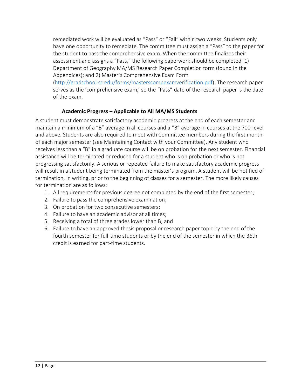remediated work will be evaluated as "Pass" or "Fail" within two weeks. Students only have one opportunity to remediate. The committee must assign a "Pass" to the paper for the student to pass the comprehensive exam. When the committee finalizes their assessment and assigns a "Pass," the following paperwork should be completed: 1) Department of Geography MA/MS Research Paper Completion form (found in the Appendices); and 2) Master's Comprehensive Exam Form [\(http://gradschool.sc.edu/forms/masterscompexamverification.pdf\)](http://gradschool.sc.edu/forms/masterscompexamverification.pdf). The research paper serves as the 'comprehensive exam,' so the "Pass" date of the research paper is the date of the exam.

## **Academic Progress – Applicable to All MA/MS Students**

<span id="page-19-0"></span>A student must demonstrate satisfactory academic progress at the end of each semester and maintain a minimum of a "B" average in all courses and a "B" average in courses at the 700-level and above. Students are also required to meet with Committee members during the first month of each major semester (see Maintaining Contact with your Committee). Any student who receives less than a "B" in a graduate course will be on probation for the next semester. Financial assistance will be terminated or reduced for a student who is on probation or who is not progressing satisfactorily. A serious or repeated failure to make satisfactory academic progress will result in a student being terminated from the master's program. A student will be notified of termination, in writing, prior to the beginning of classes for a semester. The more likely causes for termination are as follows:

- 1. All requirements for previous degree not completed by the end of the first semester;
- 2. Failure to pass the comprehensive examination;
- 3. On probation for two consecutive semesters;
- 4. Failure to have an academic advisor at all times;
- 5. Receiving a total of three grades lower than B; and
- 6. Failure to have an approved thesis proposal or research paper topic by the end of the fourth semester for full-time students or by the end of the semester in which the 36th credit is earned for part-time students.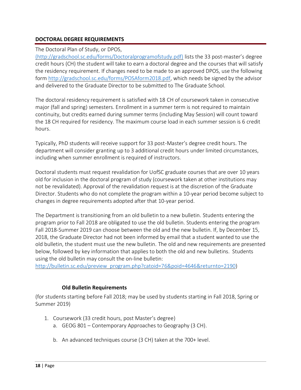### <span id="page-20-0"></span>**DOCTORAL DEGREE REQUIREMENTS**

#### The Doctoral Plan of Study, or DPOS,

[\(http://gradschool.sc.edu/forms/Doctoralprogramofstudy.pdf\)](http://gradschool.sc.edu/forms/Doctoralprogramofstudy.pdf) lists the 33 post-master's degree credit hours (CH) the student will take to earn a doctoral degree and the courses that will satisfy the residency requirement. If changes need to be made to an approved DPOS, use the following form [http://gradschool.sc.edu/forms/POSAform2018.pdf,](http://gradschool.sc.edu/forms/POSAform2018.pdf) which needs be signed by the advisor and delivered to the Graduate Director to be submitted to The Graduate School.

The doctoral residency requirement is satisfied with 18 CH of coursework taken in consecutive major (fall and spring) semesters. Enrollment in a summer term is not required to maintain continuity, but credits earned during summer terms (including May Session) will count toward the 18 CH required for residency. The maximum course load in each summer session is 6 credit hours.

Typically, PhD students will receive support for 33 post-Master's degree credit hours. The department will consider granting up to 3 additional credit hours under limited circumstances, including when summer enrollment is required of instructors.

Doctoral students must request revalidation for UofSC graduate courses that are over 10 years old for inclusion in the doctoral program of study (coursework taken at other institutions may not be revalidated). Approval of the revalidation request is at the discretion of the Graduate Director. Students who do not complete the program within a 10-year period become subject to changes in degree requirements adopted after that 10-year period.

The Department is transitioning from an old bulletin to a new bulletin. Students entering the program prior to Fall 2018 are obligated to use the old bulletin. Students entering the program Fall 2018-Summer 2019 can choose between the old and the new bulletin. If, by December 15, 2018, the Graduate Director had not been informed by email that a student wanted to use the old bulletin, the student must use the new bulletin. The old and new requirements are presented below, followed by key information that applies to both the old and new bulletins. Students using the old bulletin may consult the on-line bulletin:

[http://bulletin.sc.edu/preview\\_program.php?catoid=76&poid=4646&returnto=2190\)](http://bulletin.sc.edu/preview_program.php?catoid=76&poid=4646&returnto=2190)

### **Old Bulletin Requirements**

<span id="page-20-1"></span>(for students starting before Fall 2018; may be used by students starting in Fall 2018, Spring or Summer 2019)

- 1. Coursework (33 credit hours, post Master's degree)
	- a. GEOG 801 Contemporary Approaches to Geography (3 CH).
	- b. An advanced techniques course (3 CH) taken at the 700+ level.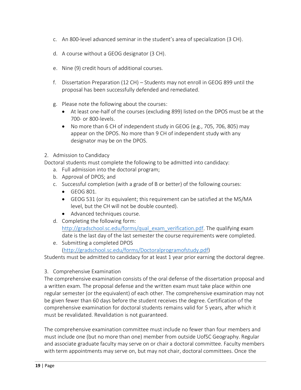- c. An 800-level advanced seminar in the student's area of specialization (3 CH).
- d. A course without a GEOG designator (3 CH).
- e. Nine (9) credit hours of additional courses.
- f. Dissertation Preparation (12 CH) Students may not enroll in GEOG 899 until the proposal has been successfully defended and remediated.
- g. Please note the following about the courses:
	- At least one-half of the courses (excluding 899) listed on the DPOS must be at the 700- or 800-levels.
	- No more than 6 CH of independent study in GEOG (e.g., 705, 706, 805) may appear on the DPOS. No more than 9 CH of independent study with any designator may be on the DPOS.
- 2. Admission to Candidacy

Doctoral students must complete the following to be admitted into candidacy:

- a. Full admission into the doctoral program;
- b. Approval of DPOS; and
- c. Successful completion (with a grade of B or better) of the following courses:
	- GEOG 801.
	- GEOG 531 (or its equivalent; this requirement can be satisfied at the MS/MA level, but the CH will not be double counted).
	- Advanced techniques course.
- d. Completing the following form: [http://gradschool.sc.edu/forms/qual\\_exam\\_verification.pdf.](http://gradschool.sc.edu/forms/qual_exam_verification.pdf) The qualifying exam date is the last day of the last semester the course requirements were completed.
- e. Submitting a completed DPOS [\(http://gradschool.sc.edu/forms/Doctoralprogramofstudy.pdf\)](http://gradschool.sc.edu/forms/Doctoralprogramofstudy.pdf)

Students must be admitted to candidacy for at least 1 year prior earning the doctoral degree.

### 3. Comprehensive Examination

The comprehensive examination consists of the oral defense of the dissertation proposal and a written exam. The proposal defense and the written exam must take place within one regular semester (or the equivalent) of each other. The comprehensive examination may not be given fewer than 60 days before the student receives the degree. Certification of the comprehensive examination for doctoral students remains valid for 5 years, after which it must be revalidated. Revalidation is not guaranteed.

The comprehensive examination committee must include no fewer than four members and must include one (but no more than one) member from outside UofSC Geography. Regular and associate graduate faculty may serve on or chair a doctoral committee. Faculty members with term appointments may serve on, but may not chair, doctoral committees. Once the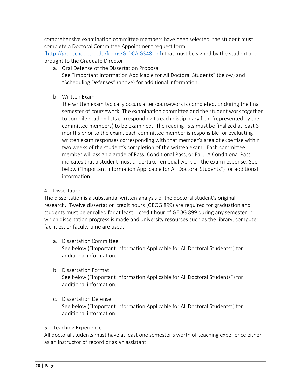comprehensive examination committee members have been selected, the student must complete a Doctoral Committee Appointment request form

[\(http://gradschool.sc.edu/forms/G-DCA.GS48.pdf\)](http://gradschool.sc.edu/forms/G-DCA.GS48.pdf) that must be signed by the student and brought to the Graduate Director.

- a. Oral Defense of the Dissertation Proposal See "Important Information Applicable for All Doctoral Students" (below) and "Scheduling Defenses" (above) for additional information.
- b. Written Exam

The written exam typically occurs after coursework is completed, or during the final semester of coursework. The examination committee and the student work together to compile reading lists corresponding to each disciplinary field (represented by the committee members) to be examined. The reading lists must be finalized at least 3 months prior to the exam. Each committee member is responsible for evaluating written exam responses corresponding with that member's area of expertise within two weeks of the student's completion of the written exam. Each committee member will assign a grade of Pass, Conditional Pass, or Fail. A Conditional Pass indicates that a student must undertake remedial work on the exam response. See below ("Important Information Applicable for All Doctoral Students") for additional information.

### 4. Dissertation

The dissertation is a substantial written analysis of the doctoral student's original research. Twelve dissertation credit hours (GEOG 899) are required for graduation and students must be enrolled for at least 1 credit hour of GEOG 899 during any semester in which dissertation progress is made and university resources such as the library, computer facilities, or faculty time are used.

- a. Dissertation Committee See below ("Important Information Applicable for All Doctoral Students") for additional information.
- b. Dissertation Format See below ("Important Information Applicable for All Doctoral Students") for additional information.
- c. Dissertation Defense See below ("Important Information Applicable for All Doctoral Students") for additional information.

### 5. Teaching Experience

All doctoral students must have at least one semester's worth of teaching experience either as an instructor of record or as an assistant.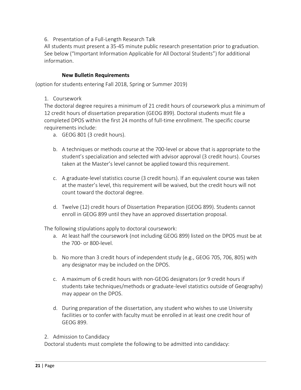#### 6. Presentation of a Full-Length Research Talk

All students must present a 35-45 minute public research presentation prior to graduation. See below ("Important Information Applicable for All Doctoral Students") for additional information.

#### **New Bulletin Requirements**

<span id="page-23-0"></span>(option for students entering Fall 2018, Spring or Summer 2019)

1. Coursework

The doctoral degree requires a minimum of 21 credit hours of coursework plus a minimum of 12 credit hours of dissertation preparation (GEOG 899). Doctoral students must file a completed DPOS within the first 24 months of full-time enrollment. The specific course requirements include:

- a. GEOG 801 (3 credit hours).
- b. A techniques or methods course at the 700-level or above that is appropriate to the student's specialization and selected with advisor approval (3 credit hours). Courses taken at the Master's level cannot be applied toward this requirement.
- c. A graduate-level statistics course (3 credit hours). If an equivalent course was taken at the master's level, this requirement will be waived, but the credit hours will not count toward the doctoral degree.
- d. Twelve (12) credit hours of Dissertation Preparation (GEOG 899). Students cannot enroll in GEOG 899 until they have an approved dissertation proposal.

The following stipulations apply to doctoral coursework:

- a. At least half the coursework (not including GEOG 899) listed on the DPOS must be at the 700- or 800-level.
- b. No more than 3 credit hours of independent study (e.g., GEOG 705, 706, 805) with any designator may be included on the DPOS.
- c. A maximum of 6 credit hours with non-GEOG designators (or 9 credit hours if students take techniques/methods or graduate-level statistics outside of Geography) may appear on the DPOS.
- d. During preparation of the dissertation, any student who wishes to use University facilities or to confer with faculty must be enrolled in at least one credit hour of GEOG 899.
- 2. Admission to Candidacy

Doctoral students must complete the following to be admitted into candidacy: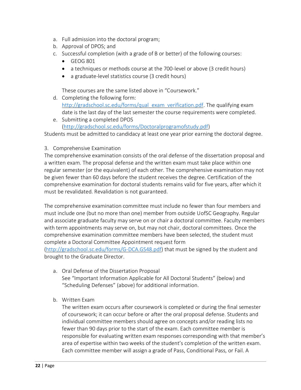- a. Full admission into the doctoral program;
- b. Approval of DPOS; and
- c. Successful completion (with a grade of B or better) of the following courses:
	- GEOG 801
	- a techniques or methods course at the 700-level or above (3 credit hours)
	- a graduate-level statistics course (3 credit hours)

These courses are the same listed above in "Coursework."

- d. Completing the following form: [http://gradschool.sc.edu/forms/qual\\_exam\\_verification.pdf.](http://gradschool.sc.edu/forms/qual_exam_verification.pdf) The qualifying exam date is the last day of the last semester the course requirements were completed.
- e. Submitting a completed DPOS [\(http://gradschool.sc.edu/forms/Doctoralprogramofstudy.pdf\)](http://gradschool.sc.edu/forms/Doctoralprogramofstudy.pdf)

Students must be admitted to candidacy at least one year prior earning the doctoral degree.

3. Comprehensive Examination

The comprehensive examination consists of the oral defense of the dissertation proposal and a written exam. The proposal defense and the written exam must take place within one regular semester (or the equivalent) of each other. The comprehensive examination may not be given fewer than 60 days before the student receives the degree. Certification of the comprehensive examination for doctoral students remains valid for five years, after which it must be revalidated. Revalidation is not guaranteed.

The comprehensive examination committee must include no fewer than four members and must include one (but no more than one) member from outside UofSC Geography. Regular and associate graduate faculty may serve on or chair a doctoral committee. Faculty members with term appointments may serve on, but may not chair, doctoral committees. Once the comprehensive examination committee members have been selected, the student must complete a Doctoral Committee Appointment request form

[\(http://gradschool.sc.edu/forms/G-DCA.GS48.pdf\)](http://gradschool.sc.edu/forms/G-DCA.GS48.pdf) that must be signed by the student and brought to the Graduate Director.

- a. Oral Defense of the Dissertation Proposal See "Important Information Applicable for All Doctoral Students" (below) and "Scheduling Defenses" (above) for additional information.
- b. Written Exam

The written exam occurs after coursework is completed or during the final semester of coursework; it can occur before or after the oral proposal defense. Students and individual committee members should agree on concepts and/or reading lists no fewer than 90 days prior to the start of the exam. Each committee member is responsible for evaluating written exam responses corresponding with that member's area of expertise within two weeks of the student's completion of the written exam. Each committee member will assign a grade of Pass, Conditional Pass, or Fail. A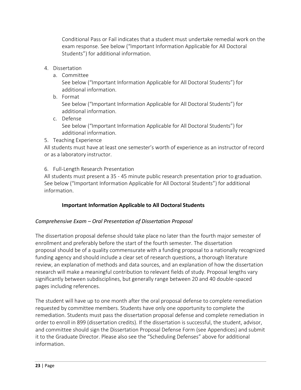Conditional Pass or Fail indicates that a student must undertake remedial work on the exam response. See below ("Important Information Applicable for All Doctoral Students") for additional information.

- 4. Dissertation
	- a. Committee

See below ("Important Information Applicable for All Doctoral Students") for additional information.

b. Format

See below ("Important Information Applicable for All Doctoral Students") for additional information.

c. Defense

See below ("Important Information Applicable for All Doctoral Students") for additional information.

5. Teaching Experience

All students must have at least one semester's worth of experience as an instructor of record or as a laboratory instructor.

6. Full-Length Research Presentation

All students must present a 35 - 45 minute public research presentation prior to graduation. See below ("Important Information Applicable for All Doctoral Students") for additional information.

# **Important Information Applicable to All Doctoral Students**

### <span id="page-25-1"></span><span id="page-25-0"></span>*Comprehensive Exam – Oral Presentation of Dissertation Proposal*

The dissertation proposal defense should take place no later than the fourth major semester of enrollment and preferably before the start of the fourth semester. The dissertation proposal should be of a quality commensurate with a funding proposal to a nationally recognized funding agency and should include a clear set of research questions, a thorough literature review, an explanation of methods and data sources, and an explanation of how the dissertation research will make a meaningful contribution to relevant fields of study. Proposal lengths vary significantly between subdisciplines, but generally range between 20 and 40 double-spaced pages including references.

The student will have up to one month after the oral proposal defense to complete remediation requested by committee members. Students have only one opportunity to complete the remediation. Students must pass the dissertation proposal defense and complete remediation in order to enroll in 899 (dissertation credits). If the dissertation is successful, the student, advisor, and committee should sign the Dissertation Proposal Defense Form (see Appendices) and submit it to the Graduate Director. Please also see the "Scheduling Defenses" above for additional information.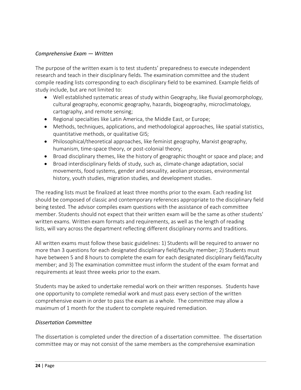### <span id="page-26-0"></span>*Comprehensive Exam — Written*

The purpose of the written exam is to test students' preparedness to execute independent research and teach in their disciplinary fields. The examination committee and the student compile reading lists corresponding to each disciplinary field to be examined. Example fields of study include, but are not limited to:

- Well established systematic areas of study within Geography, like fluvial geomorphology, cultural geography, economic geography, hazards, biogeography, microclimatology, cartography, and remote sensing;
- Regional specialties like Latin America, the Middle East, or Europe;
- Methods, techniques, applications, and methodological approaches, like spatial statistics, quantitative methods, or qualitative GIS;
- Philosophical/theoretical approaches, like feminist geography, Marxist geography, humanism, time-space theory, or post-colonial theory;
- Broad disciplinary themes, like the history of geographic thought or space and place; and
- Broad interdisciplinary fields of study, such as, climate-change adaptation, social movements, food systems, gender and sexuality, aeolian processes, environmental history, youth studies, migration studies, and development studies.

The reading lists must be finalized at least three months prior to the exam. Each reading list should be composed of classic and contemporary references appropriate to the disciplinary field being tested. The advisor compiles exam questions with the assistance of each committee member. Students should not expect that their written exam will be the same as other students' written exams. Written exam formats and requirements, as well as the length of reading lists, will vary across the department reflecting different disciplinary norms and traditions.

All written exams must follow these basic guidelines: 1) Students will be required to answer no more than 3 questions for each designated disciplinary field/faculty member; 2) Students must have between 5 and 8 hours to complete the exam for each designated disciplinary field/faculty member; and 3) The examination committee must inform the student of the exam format and requirements at least three weeks prior to the exam.

Students may be asked to undertake remedial work on their written responses. Students have one opportunity to complete remedial work and must pass every section of the written comprehensive exam in order to pass the exam as a whole. The committee may allow a maximum of 1 month for the student to complete required remediation.

#### <span id="page-26-1"></span>*Dissertation Committee*

The dissertation is completed under the direction of a dissertation committee. The dissertation committee may or may not consist of the same members as the comprehensive examination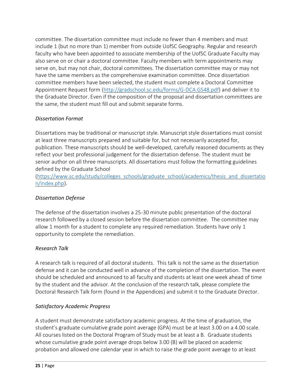committee. The dissertation committee must include no fewer than 4 members and must include 1 (but no more than 1) member from outside UofSC Geography. Regular and research faculty who have been appointed to associate membership of the UofSC Graduate Faculty may also serve on or chair a doctoral committee. Faculty members with term appointments may serve on, but may not chair, doctoral committees. The dissertation committee may or may not have the same members as the comprehensive examination committee. Once dissertation committee members have been selected, the student must complete a Doctoral Committee Appointment Request form [\(http://gradschool.sc.edu/forms/G-DCA.GS48.pdf\)](http://gradschool.sc.edu/forms/G-DCA.GS48.pdf) and deliver it to the Graduate Director. Even if the composition of the proposal and dissertation committees are the same, the student must fill out and submit separate forms.

# <span id="page-27-0"></span>*Dissertation Format*

Dissertations may be traditional or manuscript style. Manuscript style dissertations must consist at least three manuscripts prepared and suitable for, but not necessarily accepted for, publication. These manuscripts should be well-developed, carefully reasoned documents as they reflect your best professional judgement for the dissertation defense. The student must be senior author on all three manuscripts. All dissertations must follow the formatting guidelines defined by the Graduate School

[\(https://www.sc.edu/study/colleges\\_schools/graduate\\_school/academics/thesis\\_and\\_dissertatio](https://www.sc.edu/study/colleges_schools/graduate_school/academics/thesis_and_dissertation/index.php) [n/index.php\)](https://www.sc.edu/study/colleges_schools/graduate_school/academics/thesis_and_dissertation/index.php).

# <span id="page-27-1"></span>*Dissertation Defense*

The defense of the dissertation involves a 25-30 minute public presentation of the doctoral research followed by a closed session before the dissertation committee. The committee may allow 1 month for a student to complete any required remediation. Students have only 1 opportunity to complete the remediation.

# <span id="page-27-2"></span>*Research Talk*

A research talk is required of all doctoral students. This talk is not the same as the dissertation defense and it can be conducted well in advance of the completion of the dissertation. The event should be scheduled and announced to all faculty and students at least one week ahead of time by the student and the advisor. At the conclusion of the research talk, please complete the Doctoral Research Talk form (found in the Appendices) and submit it to the Graduate Director.

# <span id="page-27-3"></span>*Satisfactory Academic Progress*

A student must demonstrate satisfactory academic progress. At the time of graduation, the student's graduate cumulative grade point average (GPA) must be at least 3.00 on a 4.00 scale. All courses listed on the Doctoral Program of Study must be at least a B. Graduate students whose cumulative grade point average drops below 3.00 (B) will be placed on academic probation and allowed one calendar year in which to raise the grade point average to at least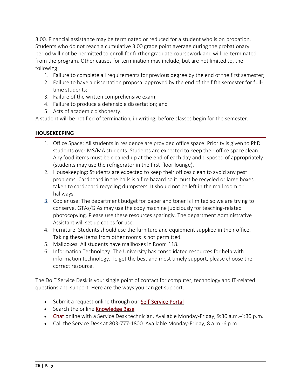3.00. Financial assistance may be terminated or reduced for a student who is on probation. Students who do not reach a cumulative 3.00 grade point average during the probationary period will not be permitted to enroll for further graduate coursework and will be terminated from the program. Other causes for termination may include, but are not limited to, the following:

- 1. Failure to complete all requirements for previous degree by the end of the first semester;
- 2. Failure to have a dissertation proposal approved by the end of the fifth semester for fulltime students;
- 3. Failure of the written comprehensive exam;
- 4. Failure to produce a defensible dissertation; and
- 5. Acts of academic dishonesty.

A student will be notified of termination, in writing, before classes begin for the semester.

#### <span id="page-28-0"></span>**HOUSEKEEPING**

- 1. Office Space: All students in residence are provided office space. Priority is given to PhD students over MS/MA students. Students are expected to keep their office space clean. Any food items must be cleaned up at the end of each day and disposed of appropriately (students may use the refrigerator in the first-floor lounge).
- 2. Housekeeping: Students are expected to keep their offices clean to avoid any pest problems. Cardboard in the halls is a fire hazard so it must be recycled or large boxes taken to cardboard recycling dumpsters. It should not be left in the mail room or hallways.
- 3. Copier use: The department budget for paper and toner is limited so we are trying to conserve. GTAs/GIAs may use the copy machine judiciously for teaching-related photocopying. Please use these resources sparingly. The department Administrative Assistant will set up codes for use.
- 4. Furniture: Students should use the furniture and equipment supplied in their office. Taking these items from other rooms is not permitted.
- 5. Mailboxes: All students have mailboxes in Room 118.
- 6. Information Technology: The University has consolidated resources for help with information technology. To get the best and most timely support, please choose the correct resource.

The DoIT Service Desk is your single point of contact for computer, technology and IT-related questions and support. Here are the ways you can get support:

- Submit a request online through our [Self-Service Portal](https://scprod.service-now.com/sp)
- Search the online [Knowledge Base](https://scprod.service-now.com/sp)
- [Chat](https://scprod.service-now.com/sp) online with a Service Desk technician. Available Monday-Friday, 9:30 a.m.-4:30 p.m.
- Call the Service Desk at 803-777-1800. Available Monday-Friday, 8 a.m.-6 p.m.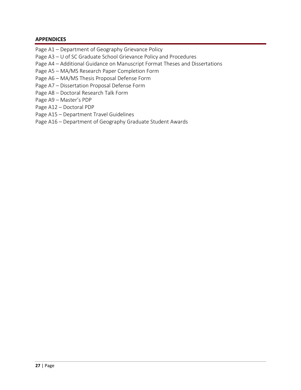#### <span id="page-29-0"></span>**APPENDICES**

- Page A1 Department of Geography Grievance Policy
- Page A3 U of SC Graduate School Grievance Policy and Procedures
- Page A4 Additional Guidance on Manuscript Format Theses and Dissertations
- Page A5 MA/MS Research Paper Completion Form
- Page A6 MA/MS Thesis Proposal Defense Form
- Page A7 Dissertation Proposal Defense Form
- Page A8 Doctoral Research Talk Form
- Page A9 Master's PDP
- Page A12 Doctoral PDP
- Page A15 Department Travel Guidelines
- Page A16 Department of Geography Graduate Student Awards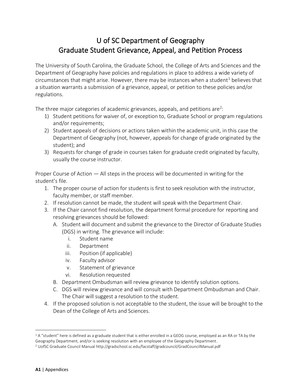# U of SC Department of Geography Graduate Student Grievance, Appeal, and Petition Process

The University of South Carolina, the Graduate School, the College of Arts and Sciences and the Department of Geography have policies and regulations in place to address a wide variety of circumstances that might arise. However, there may be instances when a student<sup>1</sup> believes that a situation warrants a submission of a grievance, appeal, or petition to these policies and/or regulations.

The three major categories of academic grievances, appeals, and petitions are<sup>2</sup>:

- 1) Student petitions for waiver of, or exception to, Graduate School or program regulations and/or requirements;
- 2) Student appeals of decisions or actions taken within the academic unit, in this case the Department of Geography (not, however, appeals for change of grade originated by the student); and
- 3) Requests for change of grade in courses taken for graduate credit originated by faculty, usually the course instructor.

Proper Course of Action — All steps in the process will be documented in writing for the student's file.

- 1. The proper course of action for students is first to seek resolution with the instructor, faculty member, or staff member.
- 2. If resolution cannot be made, the student will speak with the Department Chair.
- 3. If the Chair cannot find resolution, the department formal procedure for reporting and resolving grievances should be followed:
	- A. Student will document and submit the grievance to the Director of Graduate Studies (DGS) in writing. The grievance will include:
		- i. Student name
		- ii. Department
		- iii. Position (if applicable)
		- iv. Faculty advisor
		- v. Statement of grievance
		- vi. Resolution requested
	- B. Department Ombudsman will review grievance to identify solution options.
	- C. DGS will review grievance and will consult with Department Ombudsman and Chair. The Chair will suggest a resolution to the student.
- 4. If the proposed solution is not acceptable to the student, the issue will be brought to the Dean of the College of Arts and Sciences.

 $1A$  "student" here is defined as a graduate student that is either enrolled in a GEOG course, employed as an RA or TA by the Geography Department, and/or is seeking resolution with an employee of the Geography Department.

<sup>2</sup> UofSC Graduate Council Manua[l http://gradschool.sc.edu/facstaff/gradcouncil/GradCouncilManual.pdf](http://gradschool.sc.edu/facstaff/gradcouncil/GradCouncilManual.pdf)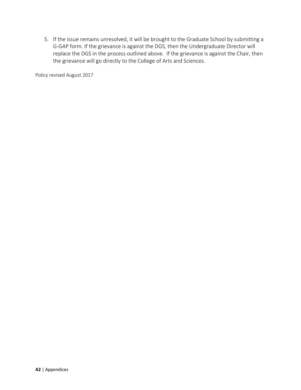5. If the issue remains unresolved, it will be brought to the Graduate School by submitting a G-GAP form. If the grievance is against the DGS, then the Undergraduate Director will replace the DGS in the process outlined above. If the grievance is against the Chair, then the grievance will go directly to the College of Arts and Sciences.

Policy revised August 2017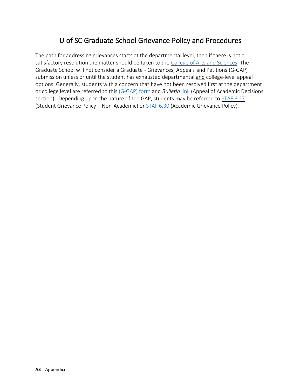# U of SC Graduate School Grievance Policy and Procedures

The path for addressing grievances starts at the departmental level, then if there is not a satisfactory resolution the matter should be taken to the [College of Arts and Sciences.](https://www.sc.edu/study/colleges_schools/artsandsciences/index.php) The Graduate School will not consider a Graduate - Grievances, Appeals and Petitions (G-GAP) submission unless or until the student has exhausted departmental and college-level appeal options. Generally, students with a concern that have not been resolved first at the department or college level are referred to this [\(G-GAP\) form](https://www.sc.edu/study/colleges_schools/graduate_school/forms_library/index.php) and *Bulletin* [link](http://bulletin.sc.edu/content.php?catoid=97&navoid=2837) (Appeal of Academic Decisions section). Depending upon the nature of the GAP, students may be referred to [STAF 6.27](http://www.sc.edu/policies/ppm/staf627.pdf) (Student Grievance Policy – Non-Academic) or [STAF 6.30](http://www.sc.edu/policies/ppm/staf630.pdf) (Academic Grievance Policy).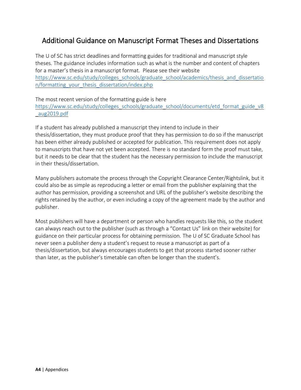# Additional Guidance on Manuscript Format Theses and Dissertations

The U of SC has strict deadlines and formatting guides for traditional and manuscript style theses. The guidance includes information such as what is the number and content of chapters for a master's thesis in a manuscript format. Please see their website [https://www.sc.edu/study/colleges\\_schools/graduate\\_school/academics/thesis\\_and\\_dissertatio](https://www.sc.edu/study/colleges_schools/graduate_school/academics/thesis_and_dissertation/formatting_your_thesis_dissertation/index.php) [n/formatting\\_your\\_thesis\\_dissertation/index.php](https://www.sc.edu/study/colleges_schools/graduate_school/academics/thesis_and_dissertation/formatting_your_thesis_dissertation/index.php)

The most recent version of the formatting guide is here [https://www.sc.edu/study/colleges\\_schools/graduate\\_school/documents/etd\\_format\\_guide\\_v8](https://www.sc.edu/study/colleges_schools/graduate_school/documents/etd_format_guide_v8_aug2019.pdf) [\\_aug2019.pdf](https://www.sc.edu/study/colleges_schools/graduate_school/documents/etd_format_guide_v8_aug2019.pdf)

If a student has already published a manuscript they intend to include in their thesis/dissertation, they must produce proof that they has permission to do so if the manuscript has been either already published or accepted for publication. This requirement does not apply to manuscripts that have not yet been accepted. There is no standard form the proof must take, but it needs to be clear that the student has the necessary permission to include the manuscript in their thesis/dissertation.

Many publishers automate the process through the Copyright Clearance Center/Rightslink, but it could also be as simple as reproducing a letter or email from the publisher explaining that the author has permission, providing a screenshot and URL of the publisher's website describing the rights retained by the author, or even including a copy of the agreement made by the author and publisher.

Most publishers will have a department or person who handles requests like this, so the student can always reach out to the publisher (such as through a "Contact Us" link on their website) for guidance on their particular process for obtaining permission. The U of SC Graduate School has never seen a publisher deny a student's request to reuse a manuscript as part of a thesis/dissertation, but always encourages students to get that process started sooner rather than later, as the publisher's timetable can often be longer than the student's.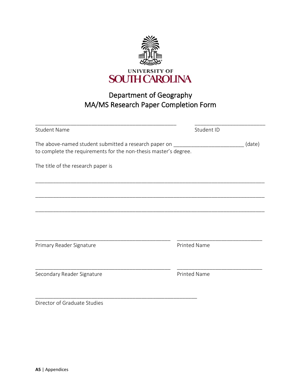

# Department of Geography MA/MS Research Paper Completion Form

| <b>Student Name</b>                                                                                                       | Student ID          |        |
|---------------------------------------------------------------------------------------------------------------------------|---------------------|--------|
| The above-named student submitted a research paper on<br>to complete the requirements for the non-thesis master's degree. |                     | (date) |
| The title of the research paper is                                                                                        |                     |        |
|                                                                                                                           |                     |        |
|                                                                                                                           |                     |        |
|                                                                                                                           |                     |        |
| Primary Reader Signature                                                                                                  | <b>Printed Name</b> |        |
|                                                                                                                           |                     |        |
| Secondary Reader Signature                                                                                                | <b>Printed Name</b> |        |
|                                                                                                                           |                     |        |

Director of Graduate Studies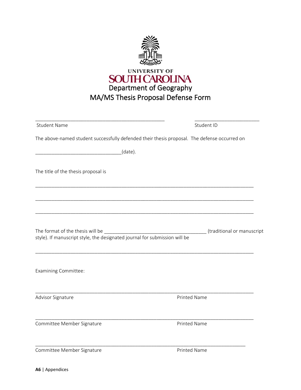

| <b>Student Name</b>                                                                                            | Student ID                                                                                                                                          |
|----------------------------------------------------------------------------------------------------------------|-----------------------------------------------------------------------------------------------------------------------------------------------------|
|                                                                                                                | The above-named student successfully defended their thesis proposal. The defense occurred on                                                        |
| (date).                                                                                                        |                                                                                                                                                     |
| The title of the thesis proposal is                                                                            |                                                                                                                                                     |
|                                                                                                                |                                                                                                                                                     |
| The format of the thesis will be<br>style). If manuscript style, the designated journal for submission will be | (traditional or manuscript<br><u> 1980 - Johann John Barn, mars ar breithinn ar breithinn ar breithinn ar breithinn ar breithinn ar breithinn a</u> |
| <b>Examining Committee:</b>                                                                                    |                                                                                                                                                     |
| Advisor Signature                                                                                              | Printed Name                                                                                                                                        |
| Committee Member Signature                                                                                     | <b>Printed Name</b>                                                                                                                                 |
| Committee Member Signature                                                                                     | Printed Name                                                                                                                                        |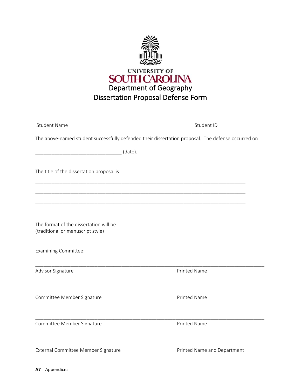

| <b>Student Name</b>                       | Student ID                                                                                         |
|-------------------------------------------|----------------------------------------------------------------------------------------------------|
|                                           | The above-named student successfully defended their dissertation proposal. The defense occurred on |
|                                           | (date).                                                                                            |
| The title of the dissertation proposal is |                                                                                                    |
|                                           |                                                                                                    |
| (traditional or manuscript style)         |                                                                                                    |
| <b>Examining Committee:</b>               |                                                                                                    |
| Advisor Signature                         | <b>Printed Name</b>                                                                                |
| Committee Member Signature                | Printed Name                                                                                       |
| Committee Member Signature                | <b>Printed Name</b>                                                                                |
| External Committee Member Signature       | Printed Name and Department                                                                        |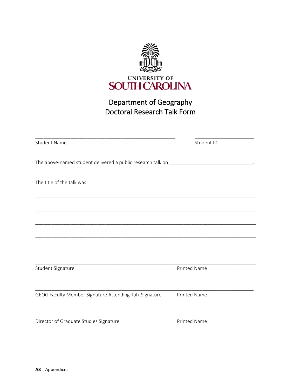

# Department of Geography Doctoral Research Talk Form

| <b>Student Name</b>                                                                                                  | Student ID          |
|----------------------------------------------------------------------------------------------------------------------|---------------------|
|                                                                                                                      |                     |
| The title of the talk was                                                                                            |                     |
| <u> 1989 - Johann John Harry Harry Harry Harry Harry Harry Harry Harry Harry Harry Harry Harry Harry Harry Harry</u> |                     |
|                                                                                                                      |                     |
|                                                                                                                      |                     |
| Student Signature                                                                                                    | <b>Printed Name</b> |
| GEOG Faculty Member Signature Attending Talk Signature                                                               | <b>Printed Name</b> |
| Director of Graduate Studies Signature                                                                               | <b>Printed Name</b> |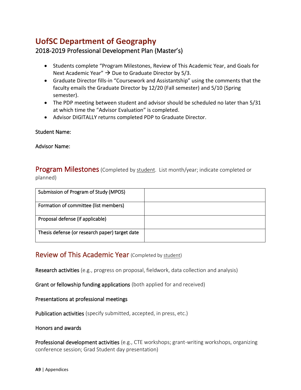# **UofSC Department of Geography**

# 2018-2019 Professional Development Plan (Master's)

- Students complete "Program Milestones, Review of This Academic Year, and Goals for Next Academic Year"  $\rightarrow$  Due to Graduate Director by 5/3.
- Graduate Director fills-in "Coursework and Assistantship" using the comments that the faculty emails the Graduate Director by 12/20 (Fall semester) and 5/10 (Spring semester).
- The PDP meeting between student and advisor should be scheduled no later than 5/31 at which time the "Advisor Evaluation" is completed.
- Advisor DIGITALLY returns completed PDP to Graduate Director.

### Student Name:

#### Advisor Name:

**Program Milestones** (Completed by student. List month/year; indicate completed or planned)

| Submission of Program of Study (MPOS)          |  |
|------------------------------------------------|--|
| Formation of committee (list members)          |  |
| Proposal defense (if applicable)               |  |
| Thesis defense (or research paper) target date |  |

# Review of This Academic Year (Completed by student)

Research activities (e.g., progress on proposal, fieldwork, data collection and analysis)

Grant or fellowship funding applications (both applied for and received)

Presentations at professional meetings

Publication activities (specify submitted, accepted, in press, etc.)

#### Honors and awards

Professional development activities (e.g., CTE workshops; grant-writing workshops, organizing conference session; Grad Student day presentation)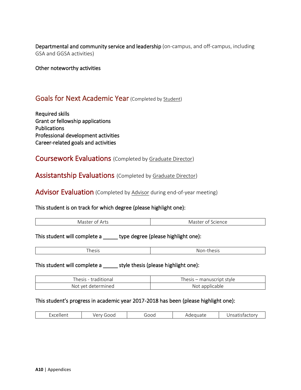Departmental and community service and leadership (on-campus, and off-campus, including GSA and GGSA activities)

Other noteworthy activities

# Goals for Next Academic Year (Completed by Student)

Required skills Grant or fellowship applications **Publications** Professional development activities Career-related goals and activities

# Coursework Evaluations (Completed by Graduate Director)

# Assistantship Evaluations (Completed by Graduate Director)

Advisor Evaluation (Completed by Advisor during end-of-year meeting)

#### This student is on track for which degree (please highlight one):

|--|

## This student will complete a \_\_\_\_\_\_ type degree (please highlight one):

| - |   |
|---|---|
|   |   |
|   | N |
|   |   |

## This student will complete a \_\_\_\_\_ style thesis (please highlight one):

| $\overline{\phantom{0}}$<br>hesis<br>traditional | hesis<br>i – manuscript style |
|--------------------------------------------------|-------------------------------|
| determined<br>Not vet                            | Not applicable                |

#### This student's progress in academic year 2017-2018 has been (please highlight one):

| $\sim$<br>-<br><u>_</u><br>״<br>$\sim$<br>-<br>$   -$<br>$   -$ | $\sim$ $ \sim$<br><u>uw</u> |
|-----------------------------------------------------------------|-----------------------------|
|-----------------------------------------------------------------|-----------------------------|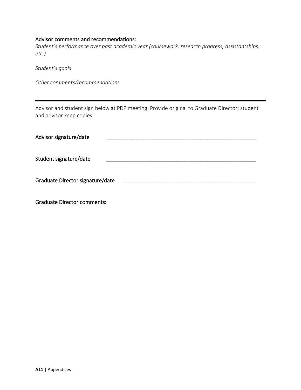#### Advisor comments and recommendations:

*Student's performance over past academic year (coursework, research progress, assistantships, etc.)*

*Student's goals*

*Other comments/recommendations*

Advisor and student sign below at PDP meeting. Provide original to Graduate Director; student and advisor keep copies.

| Advisor signature/date           |  |
|----------------------------------|--|
| Student signature/date           |  |
| Graduate Director signature/date |  |

Graduate Director comments: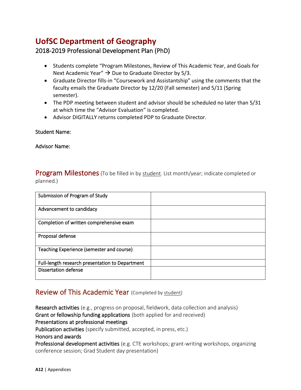# **UofSC Department of Geography**

# 2018-2019 Professional Development Plan (PhD)

- Students complete "Program Milestones, Review of This Academic Year, and Goals for Next Academic Year"  $\rightarrow$  Due to Graduate Director by 5/3.
- Graduate Director fills-in "Coursework and Assistantship" using the comments that the faculty emails the Graduate Director by 12/20 (Fall semester) and 5/11 (Spring semester).
- The PDP meeting between student and advisor should be scheduled no later than 5/31 at which time the "Advisor Evaluation" is completed.
- Advisor DIGITALLY returns completed PDP to Graduate Director.

### Student Name:

Advisor Name:

**Program Milestones** (To be filled in by student. List month/year; indicate completed or planned.)

| Submission of Program of Study                  |  |
|-------------------------------------------------|--|
| Advancement to candidacy                        |  |
| Completion of written comprehensive exam        |  |
| Proposal defense                                |  |
| Teaching Experience (semester and course)       |  |
| Full-length research presentation to Department |  |
| <b>Dissertation defense</b>                     |  |

# Review of This Academic Year (Completed by student)

Research activities (e.g., progress on proposal, fieldwork, data collection and analysis) Grant or fellowship funding applications (both applied for and received) Presentations at professional meetings Publication activities (specify submitted, accepted, in press, etc.) Honors and awards Professional development activities (e.g. CTE workshops; grant-writing workshops, organizing conference session; Grad Student day presentation)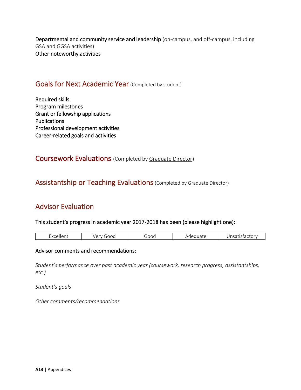Departmental and community service and leadership (on-campus, and off-campus, including GSA and GGSA activities) Other noteworthy activities

# Goals for Next Academic Year (Completed by student)

Required skills Program milestones Grant or fellowship applications Publications Professional development activities Career-related goals and activities

Coursework Evaluations (Completed by Graduate Director)

# Assistantship or Teaching Evaluations (Completed by Graduate Director)

# Advisor Evaluation

This student's progress in academic year 2017-2018 has been (please highlight one):

| ----<br>---<br>$-10$<br>-<br>სიიი<br>OC.<br>$\cdot$ $\sim$<br>.<br>uucc<br>---<br>$\cdots$<br>$   -$ |
|------------------------------------------------------------------------------------------------------|
|------------------------------------------------------------------------------------------------------|

#### Advisor comments and recommendations:

*Student's performance over past academic year (coursework, research progress, assistantships, etc.)*

*Student's goals*

*Other comments/recommendations*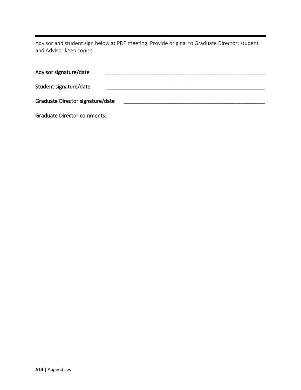Advisor and student sign below at PDP meeting. Provide original to Graduate Director; student and Advisor keep copies.

| Graduate Director signature/date |
|----------------------------------|
|                                  |
|                                  |

Graduate Director comments: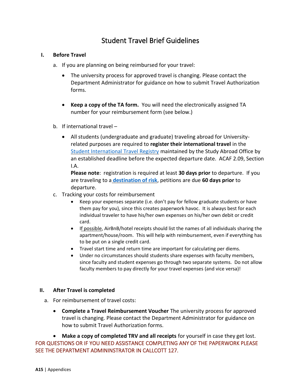# Student Travel Brief Guidelines

#### **I. Before Travel**

- a. If you are planning on being reimbursed for your travel:
	- The university process for approved travel is changing. Please contact the Department Administrator for guidance on how to submit Travel Authorization forms.
	- **Keep a copy of the TA form.** You will need the electronically assigned TA number for your reimbursement form (see below.)
- b. If international travel
	- All students (undergraduate and graduate) traveling abroad for Universityrelated purposes are required to **register their international travel** in the [Student International Travel Registry](http://sc.edu/about/offices_and_divisions/study_abroad/steps_to_study_abroad/apply_to_study_abroad/graduate_professional_students/index.php) maintained by the Study Abroad Office by an established deadline before the expected departure date. ACAF 2.09, Section I.A.

**Please note**: registration is required at least **30 days prior** to departure. If you are traveling to a **[destination of risk](http://sc.edu/about/offices_and_divisions/study_abroad/steps_to_study_abroad/apply_to_study_abroad/destinations_of_risk/)**, petitions are due **60 days prior** to departure.

- c. Tracking your costs for reimbursement
	- Keep your expenses separate (i.e. don't pay for fellow graduate students or have them pay for you), since this creates paperwork havoc. It is always best for each individual traveler to have his/her own expenses on his/her own debit or credit card.
	- If possible, AirBnB/hotel receipts should list the names of all individuals sharing the apartment/house/room. This will help with reimbursement, even if everything has to be put on a single credit card.
	- Travel start time and return time are important for calculating per diems.
	- Under no circumstances should students share expenses with faculty members, since faculty and student expenses go through two separate systems. Do not allow faculty members to pay directly for your travel expenses (and vice versa)!

#### **II. After Travel is completed**

- a. For reimbursement of travel costs:
	- **Complete a Travel Reimbursement Voucher** The university process for approved travel is changing. Please contact the Department Administrator for guidance on how to submit Travel Authorization forms.

• **Make a copy of completed TRV and all receipts** for yourself in case they get lost. FOR QUESTIONS OR IF YOU NEED ASSISTANCE COMPLETING ANY OF THE PAPERWORK PLEASE SEE THE DEPARTMENT ADMININSTRATOR IN CALLCOTT 127.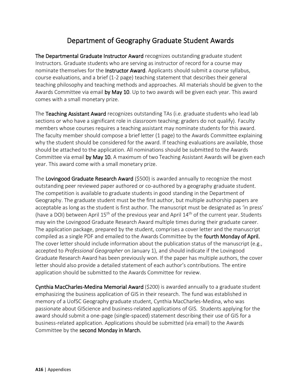# Department of Geography Graduate Student Awards

The Departmental Graduate Instructor Award recognizes outstanding graduate student Instructors. Graduate students who are serving as instructor of record for a course may nominate themselves for the Instructor Award. Applicants should submit a course syllabus, course evaluations, and a brief (1-2 page) teaching statement that describes their general teaching philosophy and teaching methods and approaches. All materials should be given to the Awards Committee via email by May 10. Up to two awards will be given each year. This award comes with a small monetary prize.

The Teaching Assistant Award recognizes outstanding TAs (i.e. graduate students who lead lab sections or who have a significant role in classroom teaching; graders do not qualify). Faculty members whose courses requires a teaching assistant may nominate students for this award. The faculty member should compose a brief letter (1 page) to the Awards Committee explaining why the student should be considered for the award. If teaching evaluations are available, those should be attached to the application. All nominations should be submitted to the Awards Committee via email by May 10. A maximum of two Teaching Assistant Awards will be given each year. This award come with a small monetary prize.

The Lovingood Graduate Research Award (\$500) is awarded annually to recognize the most outstanding peer reviewed paper authored or co-authored by a geography graduate student. The competition is available to graduate students in good standing in the Department of Geography. The graduate student must be the first author, but multiple authorship papers are acceptable as long as the student is first author. The manuscript must be designated as 'in press' (have a DOI) between April  $15<sup>th</sup>$  of the previous year and April  $14<sup>th</sup>$  of the current year. Students may win the Lovingood Graduate Research Award multiple times during their graduate career. The application package, prepared by the student, comprises a cover letter and the manuscript compiled as a single PDF and emailed to the Awards Committee by the fourth Monday of April. The cover letter should include information about the publication status of the manuscript (e.g., accepted to *Professional Geographer* on January 1), and should indicate if the Lovingood Graduate Research Award has been previously won. If the paper has multiple authors, the cover letter should also provide a detailed statement of each author's contributions. The entire application should be submitted to the Awards Committee for review.

Cynthia MacCharles-Medina Memorial Award (\$200) is awarded annually to a graduate student emphasizing the business application of GIS in their research. The fund was established in memory of a UofSC Geography graduate student, Cynthia MacCharles-Medina, who was passionate about GIScience and business-related applications of GIS. Students applying for the award should submit a one-page (single-spaced) statement describing their use of GIS for a business-related application. Applications should be submitted (via email) to the Awards Committee by the second Monday in March.